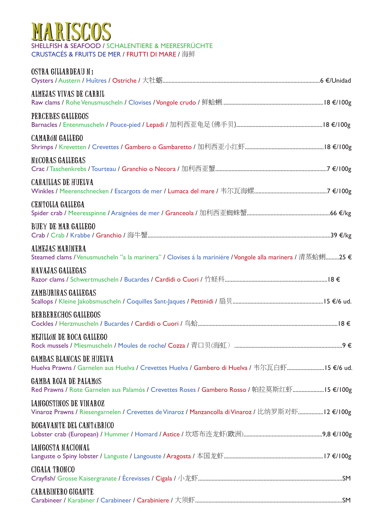### SHELLFISH & SEAFOOD / SCHALENTIERE & MEERESFRÜCHTE MARISCOS

CRUSTACÉS & FRUITS DE MER / FRUTTI DI MARE / 海鲜

| OSTRA GILLARDEAU N1                                                                                                             |  |
|---------------------------------------------------------------------------------------------------------------------------------|--|
| ALMEJAS VIVAS DE CARRIL                                                                                                         |  |
| PERCEBES GALLEGOS                                                                                                               |  |
| <b>CAMARÓN GALLEGO</b>                                                                                                          |  |
| NÉCORAS GALLEGAS                                                                                                                |  |
| <b>CAÑAILLAS DE HUELVA</b>                                                                                                      |  |
| <b>CENTOLLA GALLEGA</b>                                                                                                         |  |
| <b>BUEY DE MAR GALLEGO</b>                                                                                                      |  |
| ALMEJAS MARINERA<br>Steamed clams / Venusmuscheln "a la marinera" / Clovises á la mariniére / Vongole alla marinera / 清蒸蛤蜊25 €  |  |
| <b>NAVAJAS GALLEGAS</b>                                                                                                         |  |
| ZAMBURIÑAS GALLEGAS                                                                                                             |  |
| <b>BERBERECHOS GALLEGOS</b>                                                                                                     |  |
| MEJILLÓN DE ROCA GALLEGO                                                                                                        |  |
| <b>GAMBAS BLANCAS DE HUELVA</b><br>Huelva Prawns / Garnelen aus Huelva / Crevettes Huelva / Gambero di Huelva / 韦尔瓦白虾15 €/6 ud. |  |
| <b>GAMBA ROJA DE PALAMÓS</b><br>Red Prawns / Rote Garnelen aus Palamós / Crevettes Roses / Gambero Rosso / 帕拉莫斯红虾15 €/100g      |  |
| LANGOSTINOS DE VINAROZ<br>Vinaroz Prawns / Riesengarnelen / Crevettes de Vinaroz / Manzancolla di Vinaroz / 比纳罗斯对虾12 €/100g     |  |
| <b>BOGAVANTE DEL CANTABRICO</b>                                                                                                 |  |
| LANGOSTA NACIONAL                                                                                                               |  |
| <b>CIGALA TRONCO</b>                                                                                                            |  |
| <b>CARABINERO GIGANTE</b>                                                                                                       |  |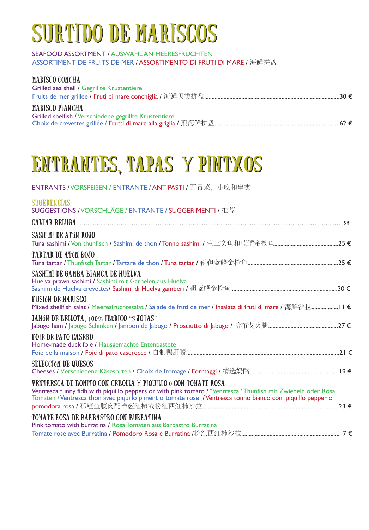# SURTIDO DE MARISCOS

#### SEAFOOD ASSORTMENT / AUSWAHL AN MEERESFRÜCHTEN ASSORTIMENT DE FRUITS DE MER / ASSORTIMENTO DI FRUTI DI MARE / 海鲜拼盘

| <b>MARISCO CONCHA</b><br>Grilled sea shell / Gegrillte Krustentiere |  |
|---------------------------------------------------------------------|--|
| <b>MARISCO PLANCHA</b>                                              |  |
| Grilled shelfish / Verschiedene gegrillte Krustentiere              |  |
|                                                                     |  |

### ENTRANTES, TAPAS Y PINTXOS ENTRANTES, TAPAS Y PINTXOS

ENTRANTS / VORSPEISEN / ENTRANTE / ANTIPASTI / 开胃菜, 小吃和串类

| <b>SUGERENCIAS:</b><br>SUGGESTIONS / VORSCHLÄGE / ENTRANTE / SUGGERIMENTI / 推荐                                                                                                                                                                                                              |
|---------------------------------------------------------------------------------------------------------------------------------------------------------------------------------------------------------------------------------------------------------------------------------------------|
|                                                                                                                                                                                                                                                                                             |
| SASHIMI DE ATÚN ROJO                                                                                                                                                                                                                                                                        |
| <b>TARTAR DE ATÚN ROJO</b>                                                                                                                                                                                                                                                                  |
| SASHIMI DE GAMBA BLANCA DE HUELVA<br>Huelva prawn sashimi / Sashimi mit Garnelen aus Huelva                                                                                                                                                                                                 |
| <b>FUSIÓN DE MARISCO</b><br>Mixed shellfish salat / Meeresfrüchtesalat / Salade de fruti de mer / Insalata di fruti di mare / 海鲜沙拉 Ⅰ   €                                                                                                                                                    |
| <b>JAMÓN DE BELLOTA, 100% IBÉRICO "5 JOTAS"</b>                                                                                                                                                                                                                                             |
| <b>FOIE DE PATO CASERO</b><br>Home-made duck foie / Hausgemachte Entenpastete                                                                                                                                                                                                               |
| <b>SELECCIÓN DE QUESOS</b>                                                                                                                                                                                                                                                                  |
| VENTRESCA DE BONITO CON CEBOLLA Y PIQUILLO 0 CON TOMATE ROSA<br>Ventresca tunny fidh with piquillo peppers or with pink tomato / "Ventresca" Thunfish mit Zwiebeln oder Rosa<br>Tomaten / Ventresca thon avec piquillo piment o tomate rose / Ventresca tonno bianco con .piquillo pepper o |
| <b>TOMATE ROSA DE BARBASTRO CON BURRATINA</b><br>Pink tomato with burratina / Rosa Tomaten aus Barbastro Burratina                                                                                                                                                                          |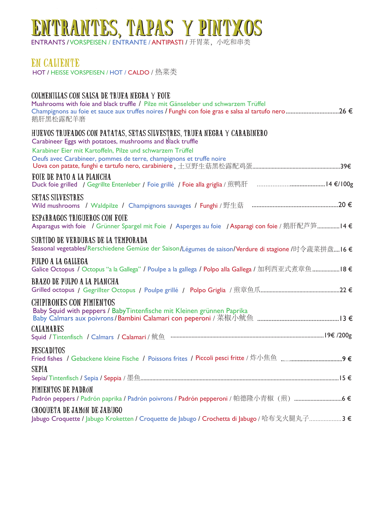### ENTRANTES, TAPAS Y PINTXOS

**ENTRANTS / VORSPEISEN / ENTRANTE / ANTIPASTI /** 开胃菜,小吃和串类

#### EN CALIENTE

HOT / HEISSE VORSPEISEN / HOT / CALDO / 热菜类

#### COLMENILLAS CON SALSA DE TRUFA NEGRA Y FOIE

| Mushrooms with foie and black truffle / Pilze mit Gänseleber und schwarzem Trüffel<br>Champignons au foie et sauce aux truffes noires / Funghi con foie gras e salsa al tartufo nero26 €<br>鹅肝黑松露配羊磨 |
|------------------------------------------------------------------------------------------------------------------------------------------------------------------------------------------------------|
| HUEVOS TRUFADOS CON PATATAS, SETAS SILVESTRES, TRUFA NEGRA Y CARABINERO<br>Carabineer Eggs with potatoes, mushrooms and black truffle<br>Karabiner Eier mit Kartoffeln, Pilze und schwarzem Trüffel  |
| Oeufs avec Carabineer, pommes de terre, champignons et truffe noire                                                                                                                                  |
| FOIE DE PATO A LA PLANCHA                                                                                                                                                                            |
| <b>SETAS SILVESTRES</b><br>Wild mushrooms / Waldpilze / Champignons sauvages / Funghi / 野生菇 …………………………………………………20 €                                                                                  |
| <b>ESPARRAGOS TRIGUEROS CON FOIE</b><br>Asparagus with foie / Grünner Spargel mit Foie / Asperges au foie / Asparagi con foie / 鹅肝配芦笋14 €                                                            |
| SURTIDO DE VERDURAS DE LA TEMPORADA<br>Seasonal vegetables/Rerschiedene Gemüse der Saison/Légumes de saison/Verdure di stagione /时令蔬菜拼盘16 €                                                          |
| PULPO A LA GALLEGA<br>Galice Octopus / Octopus "a la Gallega" / Poulpe a la gallega / Polpo alla Gallega / 加利西亚式煮章鱼 18 €                                                                             |
| <b>BRAZO DE PULPO A LA PLANCHA</b>                                                                                                                                                                   |
| <b>CHIPIRONES CON PIMIENTOS</b><br>Baby Squid with peppers / Baby Tintenfische mit Kleinen grünnen Paprika                                                                                           |
| <b>CALAMARES</b>                                                                                                                                                                                     |
| <b>PESCADITOS</b>                                                                                                                                                                                    |
| <b>SEPIA</b>                                                                                                                                                                                         |
| PIMIENTOS DE PADRÓN<br>Padrón peppers / Padrón paprika / Padrón poivrons / Padrón pepperoni / 帕德隆小青椒 (煎) 6 €                                                                                         |
| CROQUETA DE JAMÓN DE JABUGO<br>Jabugo Croquette / Jabugo Kroketten / Croquette de Jabugo / Crochetta di Jabugo / 哈布戈火腿丸子3 €                                                                          |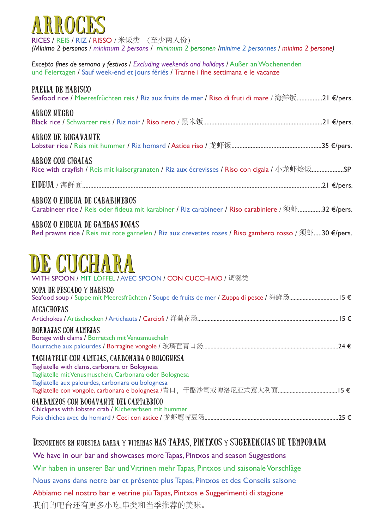

RICES / REIS / RIZ / RISSO / 米饭类 (至少两人份) *(Mínimo 2 personas / minimum 2 persons / minimum 2 personen /minime 2 personnes / minimo 2 persone)*

*Excepto fines de semana y festivos* / *Excluding weekends and holidays* / Außer an Wochenenden und Feiertagen / Sauf week-end et jours fériés */* Tranne i fine settimana e le vacanze

#### PAELLA DE MARISCO

|  |  | Seafood rice / Meeresfrüchten reis / Riz aux fruits de mer / Riso di fruti di mare / 海鲜饭21 €/pers. |  |
|--|--|----------------------------------------------------------------------------------------------------|--|
|  |  |                                                                                                    |  |

#### ARROZ NEGRO

Black rice / Schwarzer reis / Riz noir / Riso nero / 黑米饭..........................................................................21 €/pers.

#### ARROZ DE BOGAVANTE

Lobster rice / Reis mit hummer / Riz homard / Astice riso / 龙虾饭........................................................35 €/pers.

#### ARROZ CON CIGALAS

Rice with crayfish / Reis mit kaisergranaten / Riz aux écrevisses / Riso con cigala / 小龙虾烩饭...................SP

FIDEUA / 海鲜面.....................................................................................................................................................21 €/pers.

#### ARROZ O FIDEUA DE CARABINEROS

Carabineer rice / Reis oder fideua mit karabiner / Riz carabineer / Riso carabiniere / 须虾...............32 €/pers.

#### ARROZ O FIDEUA DE GAMBAS ROJAS

Red prawns rice / Reis mit rote garnelen / Riz aux crevettes roses / Riso gambero rosso /  $\mathfrak{M}$ sm .....30  $\epsilon$ /pers.

## DE COCHARY

WITH SPOON / MIT LÖFFEL / AVEC SPOON / CON CUCCHIAIO / 调羹类

#### SOPA DE PESCADO Y MARISCO

| <b>ALCACHOFAS</b>                                                                                      |
|--------------------------------------------------------------------------------------------------------|
|                                                                                                        |
| <b>BORRAJAS CON ALMEJAS</b><br>Borage with clams / Borretsch mit Venusmuscheln                         |
| TAGLIATELLE CON ALMEJAS, CARBONARA O BOLOGNESA                                                         |
| Tagliatelle with clams, carbonara or Bolognesa                                                         |
| Tagliatelle mit Venusmuscheln, Carbonara oder Bolognesa                                                |
| Tagliatelle aux palourdes, carbonara ou bolognesa                                                      |
| <b>GARBANZOS CON BOGAVANTE DEL CANTABRICO</b><br>Chickpeas with lobster crab / Kichererbsen mit hummer |

Pois chiches avec du homard / Ceci con astice / 龙虾鹰嘴豆汤..........................................................................................25 €

#### Disponemos en nuestra barra y vitrinas MÁS TAPAS, PINTXOS y SUGERENCIAS DE TEMPORADA

We have in our bar and showcases more Tapas, Pintxos and season Suggestions

Wir haben in unserer Bar und Vitrinen mehr Tapas, Pintxos und saisonale Vorschläge

Nous avons dans notre bar et présente plus Tapas, Pintxos et des Conseils saisone

Abbiamo nel nostro bar e vetrine più Tapas, Pintxos e Suggerimenti di stagione

我们的吧台还有更多小吃,串类和当季推荐的美味。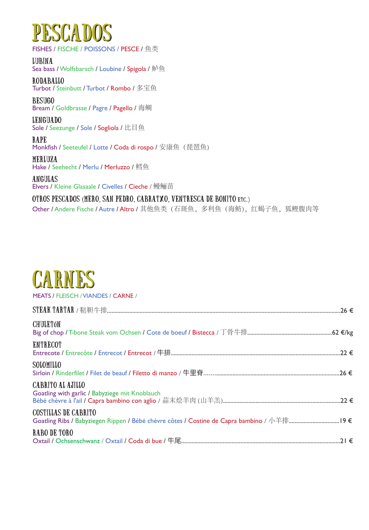### **ESCADOS**

FISHES / FISCHE / POISSONS / PESCE / 鱼类

LUBINA Sea bass / Wolfsbarsch / Loubine / Spigola / 鲈鱼

RODABALLO Turbot / Steinbutt / Turbot / Rombo / 多宝鱼 BESUGO

Bream / Goldbrasse / Pagre / Pagello / 海鲷

LENGUADO Sole / Seezunge / Sole / Sogliola / 比目鱼

RAPE Monkfish / Seeteufel / Lotte / Coda di rospo / 安康鱼 (琵琶鱼)

MERLUZA Hake / Seehecht / Merlu / Merluzzo / 鳕鱼

ANGULAS Elvers / Kleine Glasaale / Civelles / Cieche / 鳗鲡苗

OTROS PESCADOS (MERO, SAN PEDRO, CABRATXO, VENTRESCA DE BONITO etc.)

Other / Andere Fische / Autre / Altro / 其他鱼类(石斑鱼, 多利鱼(海鲂), 红蝎子鱼, 狐鲣腹肉等

### **CARNES**

MEATS / FLEISCH / VIANDES / CARNE /

| <b>CHULETÓN</b>                                                                                                           |  |
|---------------------------------------------------------------------------------------------------------------------------|--|
| <b>ENTRECOT</b>                                                                                                           |  |
| SOLOMILLO                                                                                                                 |  |
| <b>CABRITO AL AJILLO</b><br>Goatling with garlic / Babyziege mit Knoblauch                                                |  |
| <b>COSTILLAS DE CABRITO</b><br>Goatling Ribs / Babyziegen Rippen / Bébé chèvre côtes / Costine de Capra bambino / 小羊排19 € |  |
| RABO DE TORO                                                                                                              |  |